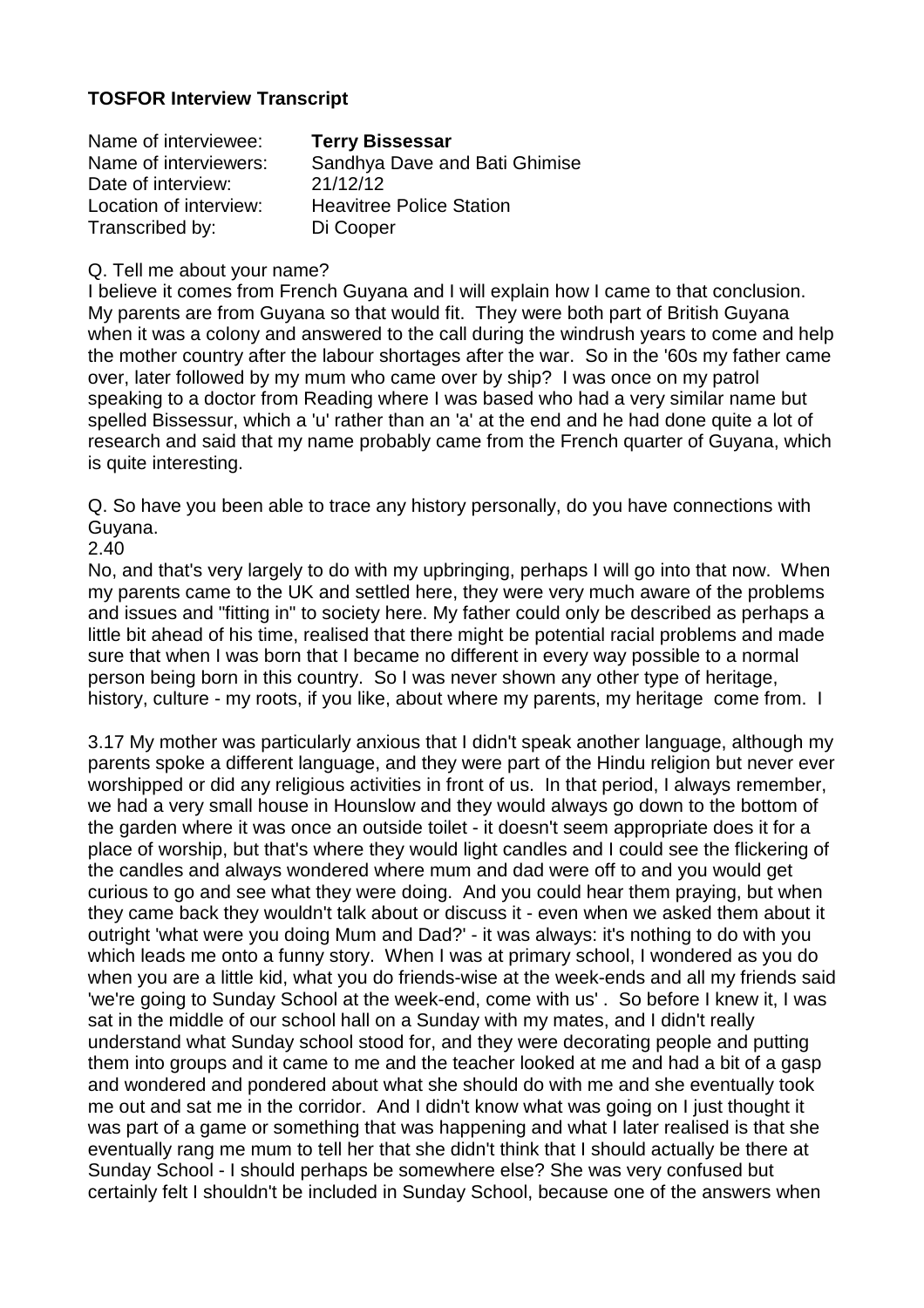# **TOSFOR Interview Transcript**

| Name of interviewee:   | <b>Terry Bissessar</b>          |
|------------------------|---------------------------------|
| Name of interviewers:  | Sandhya Dave and Bati Ghimise   |
| Date of interview:     | 21/12/12                        |
| Location of interview: | <b>Heavitree Police Station</b> |
| Transcribed by:        | Di Cooper                       |

#### Q. Tell me about your name?

I believe it comes from French Guyana and I will explain how I came to that conclusion. My parents are from Guyana so that would fit. They were both part of British Guyana when it was a colony and answered to the call during the windrush years to come and help the mother country after the labour shortages after the war. So in the '60s my father came over, later followed by my mum who came over by ship? I was once on my patrol speaking to a doctor from Reading where I was based who had a very similar name but spelled Bissessur, which a 'u' rather than an 'a' at the end and he had done quite a lot of research and said that my name probably came from the French quarter of Guyana, which is quite interesting.

Q. So have you been able to trace any history personally, do you have connections with Guyana.

2.40

No, and that's very largely to do with my upbringing, perhaps I will go into that now. When my parents came to the UK and settled here, they were very much aware of the problems and issues and "fitting in" to society here. My father could only be described as perhaps a little bit ahead of his time, realised that there might be potential racial problems and made sure that when I was born that I became no different in every way possible to a normal person being born in this country. So I was never shown any other type of heritage, history, culture - my roots, if you like, about where my parents, my heritage come from. I

3.17 My mother was particularly anxious that I didn't speak another language, although my parents spoke a different language, and they were part of the Hindu religion but never ever worshipped or did any religious activities in front of us. In that period, I always remember, we had a very small house in Hounslow and they would always go down to the bottom of the garden where it was once an outside toilet - it doesn't seem appropriate does it for a place of worship, but that's where they would light candles and I could see the flickering of the candles and always wondered where mum and dad were off to and you would get curious to go and see what they were doing. And you could hear them praying, but when they came back they wouldn't talk about or discuss it - even when we asked them about it outright 'what were you doing Mum and Dad?' - it was always: it's nothing to do with you which leads me onto a funny story. When I was at primary school, I wondered as you do when you are a little kid, what you do friends-wise at the week-ends and all my friends said 'we're going to Sunday School at the week-end, come with us' . So before I knew it, I was sat in the middle of our school hall on a Sunday with my mates, and I didn't really understand what Sunday school stood for, and they were decorating people and putting them into groups and it came to me and the teacher looked at me and had a bit of a gasp and wondered and pondered about what she should do with me and she eventually took me out and sat me in the corridor. And I didn't know what was going on I just thought it was part of a game or something that was happening and what I later realised is that she eventually rang me mum to tell her that she didn't think that I should actually be there at Sunday School - I should perhaps be somewhere else? She was very confused but certainly felt I shouldn't be included in Sunday School, because one of the answers when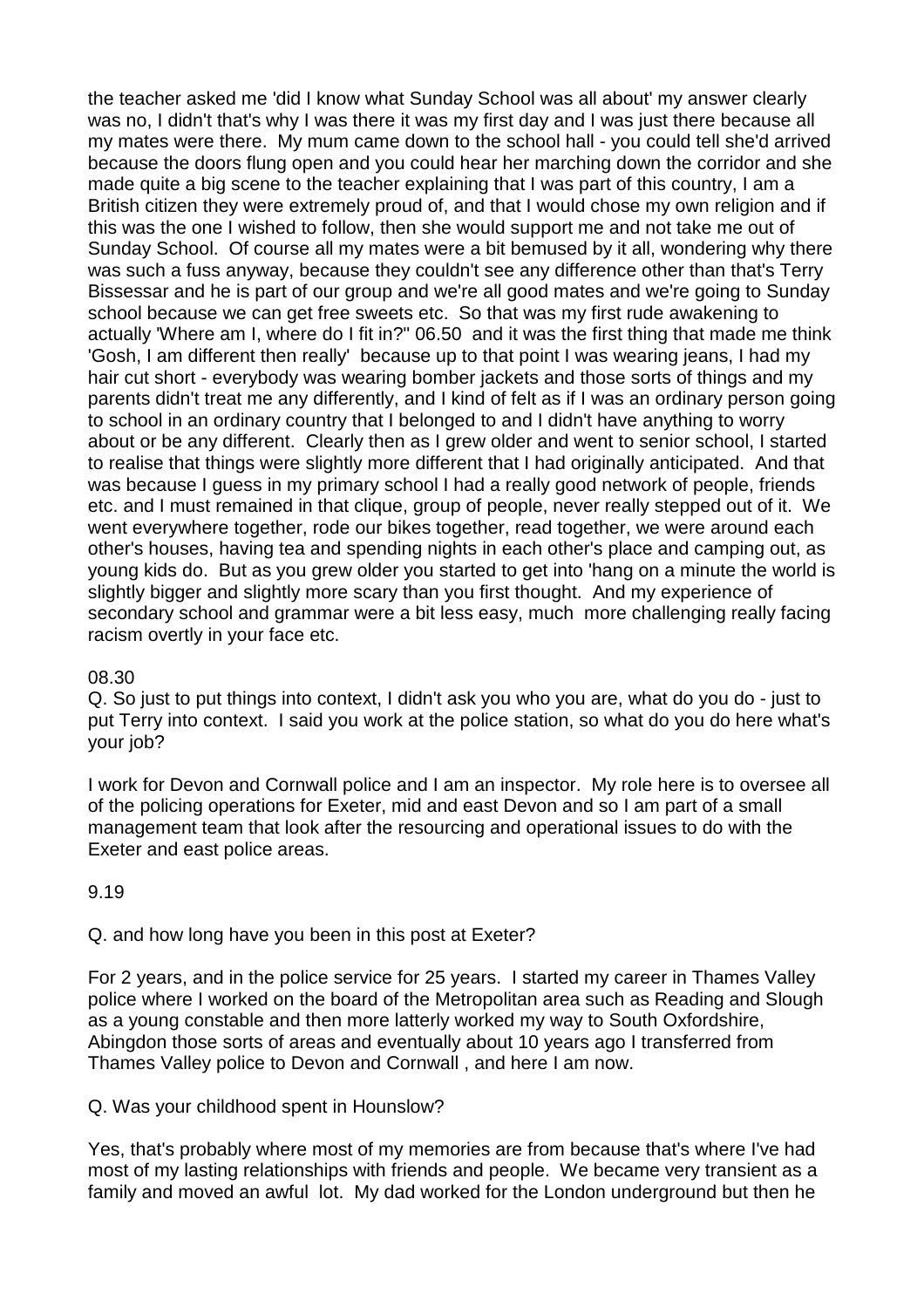the teacher asked me 'did I know what Sunday School was all about' my answer clearly was no, I didn't that's why I was there it was my first day and I was just there because all my mates were there. My mum came down to the school hall - you could tell she'd arrived because the doors flung open and you could hear her marching down the corridor and she made quite a big scene to the teacher explaining that I was part of this country, I am a British citizen they were extremely proud of, and that I would chose my own religion and if this was the one I wished to follow, then she would support me and not take me out of Sunday School. Of course all my mates were a bit bemused by it all, wondering why there was such a fuss anyway, because they couldn't see any difference other than that's Terry Bissessar and he is part of our group and we're all good mates and we're going to Sunday school because we can get free sweets etc. So that was my first rude awakening to actually 'Where am I, where do I fit in?" 06.50 and it was the first thing that made me think 'Gosh, I am different then really' because up to that point I was wearing jeans, I had my hair cut short - everybody was wearing bomber jackets and those sorts of things and my parents didn't treat me any differently, and I kind of felt as if I was an ordinary person going to school in an ordinary country that I belonged to and I didn't have anything to worry about or be any different. Clearly then as I grew older and went to senior school, I started to realise that things were slightly more different that I had originally anticipated. And that was because I guess in my primary school I had a really good network of people, friends etc. and I must remained in that clique, group of people, never really stepped out of it. We went everywhere together, rode our bikes together, read together, we were around each other's houses, having tea and spending nights in each other's place and camping out, as young kids do. But as you grew older you started to get into 'hang on a minute the world is slightly bigger and slightly more scary than you first thought. And my experience of secondary school and grammar were a bit less easy, much more challenging really facing racism overtly in your face etc.

### 08.30

Q. So just to put things into context, I didn't ask you who you are, what do you do - just to put Terry into context. I said you work at the police station, so what do you do here what's your job?

I work for Devon and Cornwall police and I am an inspector. My role here is to oversee all of the policing operations for Exeter, mid and east Devon and so I am part of a small management team that look after the resourcing and operational issues to do with the Exeter and east police areas.

## 9.19

## Q. and how long have you been in this post at Exeter?

For 2 years, and in the police service for 25 years. I started my career in Thames Valley police where I worked on the board of the Metropolitan area such as Reading and Slough as a young constable and then more latterly worked my way to South Oxfordshire, Abingdon those sorts of areas and eventually about 10 years ago I transferred from Thames Valley police to Devon and Cornwall , and here I am now.

### Q. Was your childhood spent in Hounslow?

Yes, that's probably where most of my memories are from because that's where I've had most of my lasting relationships with friends and people. We became very transient as a family and moved an awful lot. My dad worked for the London underground but then he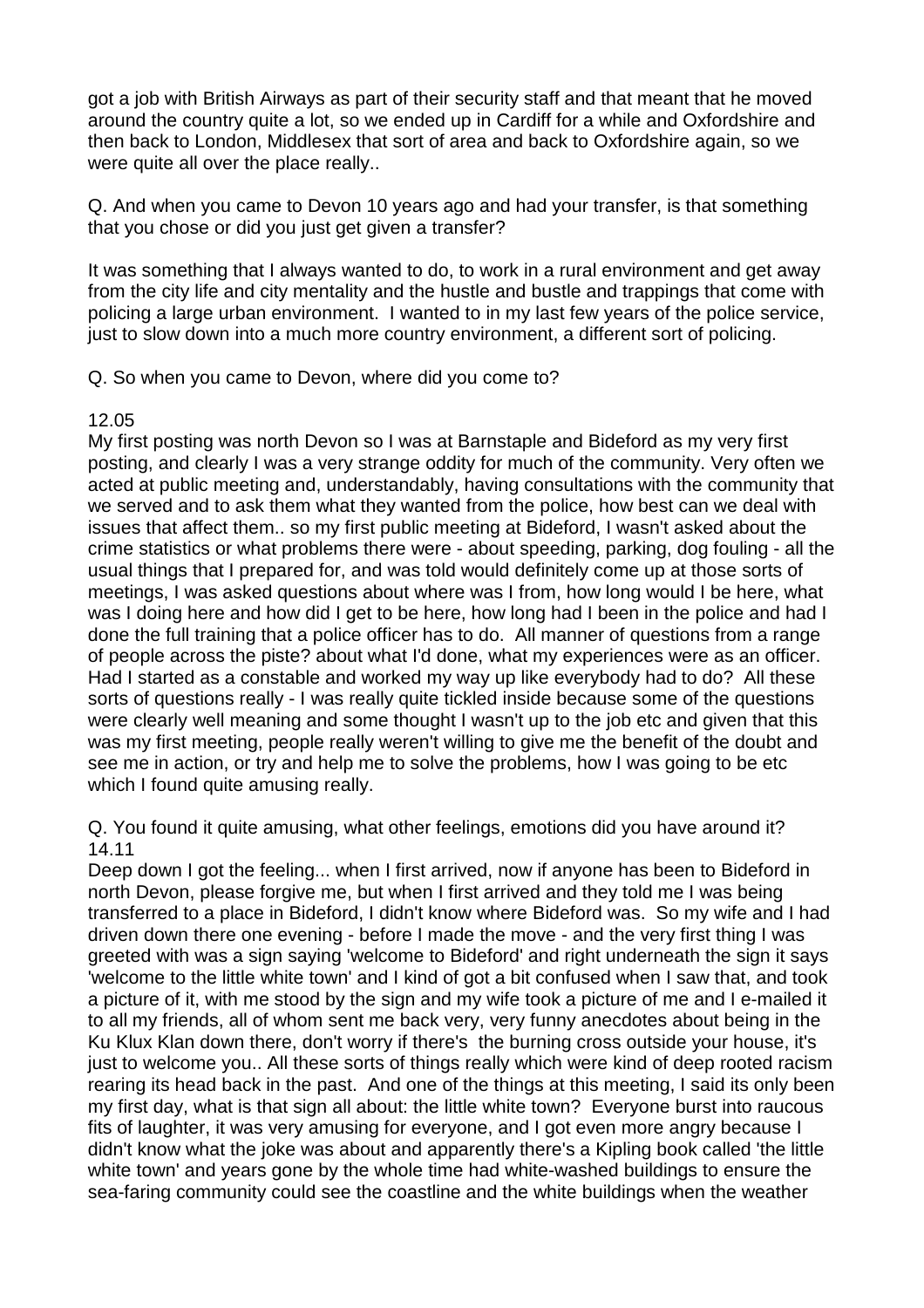got a job with British Airways as part of their security staff and that meant that he moved around the country quite a lot, so we ended up in Cardiff for a while and Oxfordshire and then back to London, Middlesex that sort of area and back to Oxfordshire again, so we were quite all over the place really..

Q. And when you came to Devon 10 years ago and had your transfer, is that something that you chose or did you just get given a transfer?

It was something that I always wanted to do, to work in a rural environment and get away from the city life and city mentality and the hustle and bustle and trappings that come with policing a large urban environment. I wanted to in my last few years of the police service, just to slow down into a much more country environment, a different sort of policing.

Q. So when you came to Devon, where did you come to?

### 12.05

My first posting was north Devon so I was at Barnstaple and Bideford as my very first posting, and clearly I was a very strange oddity for much of the community. Very often we acted at public meeting and, understandably, having consultations with the community that we served and to ask them what they wanted from the police, how best can we deal with issues that affect them.. so my first public meeting at Bideford, I wasn't asked about the crime statistics or what problems there were - about speeding, parking, dog fouling - all the usual things that I prepared for, and was told would definitely come up at those sorts of meetings, I was asked questions about where was I from, how long would I be here, what was I doing here and how did I get to be here, how long had I been in the police and had I done the full training that a police officer has to do. All manner of questions from a range of people across the piste? about what I'd done, what my experiences were as an officer. Had I started as a constable and worked my way up like everybody had to do? All these sorts of questions really - I was really quite tickled inside because some of the questions were clearly well meaning and some thought I wasn't up to the job etc and given that this was my first meeting, people really weren't willing to give me the benefit of the doubt and see me in action, or try and help me to solve the problems, how I was going to be etc which I found quite amusing really.

Q. You found it quite amusing, what other feelings, emotions did you have around it? 14.11

Deep down I got the feeling... when I first arrived, now if anyone has been to Bideford in north Devon, please forgive me, but when I first arrived and they told me I was being transferred to a place in Bideford, I didn't know where Bideford was. So my wife and I had driven down there one evening - before I made the move - and the very first thing I was greeted with was a sign saying 'welcome to Bideford' and right underneath the sign it says 'welcome to the little white town' and I kind of got a bit confused when I saw that, and took a picture of it, with me stood by the sign and my wife took a picture of me and I e-mailed it to all my friends, all of whom sent me back very, very funny anecdotes about being in the Ku Klux Klan down there, don't worry if there's the burning cross outside your house, it's just to welcome you.. All these sorts of things really which were kind of deep rooted racism rearing its head back in the past. And one of the things at this meeting, I said its only been my first day, what is that sign all about: the little white town? Everyone burst into raucous fits of laughter, it was very amusing for everyone, and I got even more angry because I didn't know what the joke was about and apparently there's a Kipling book called 'the little white town' and years gone by the whole time had white-washed buildings to ensure the sea-faring community could see the coastline and the white buildings when the weather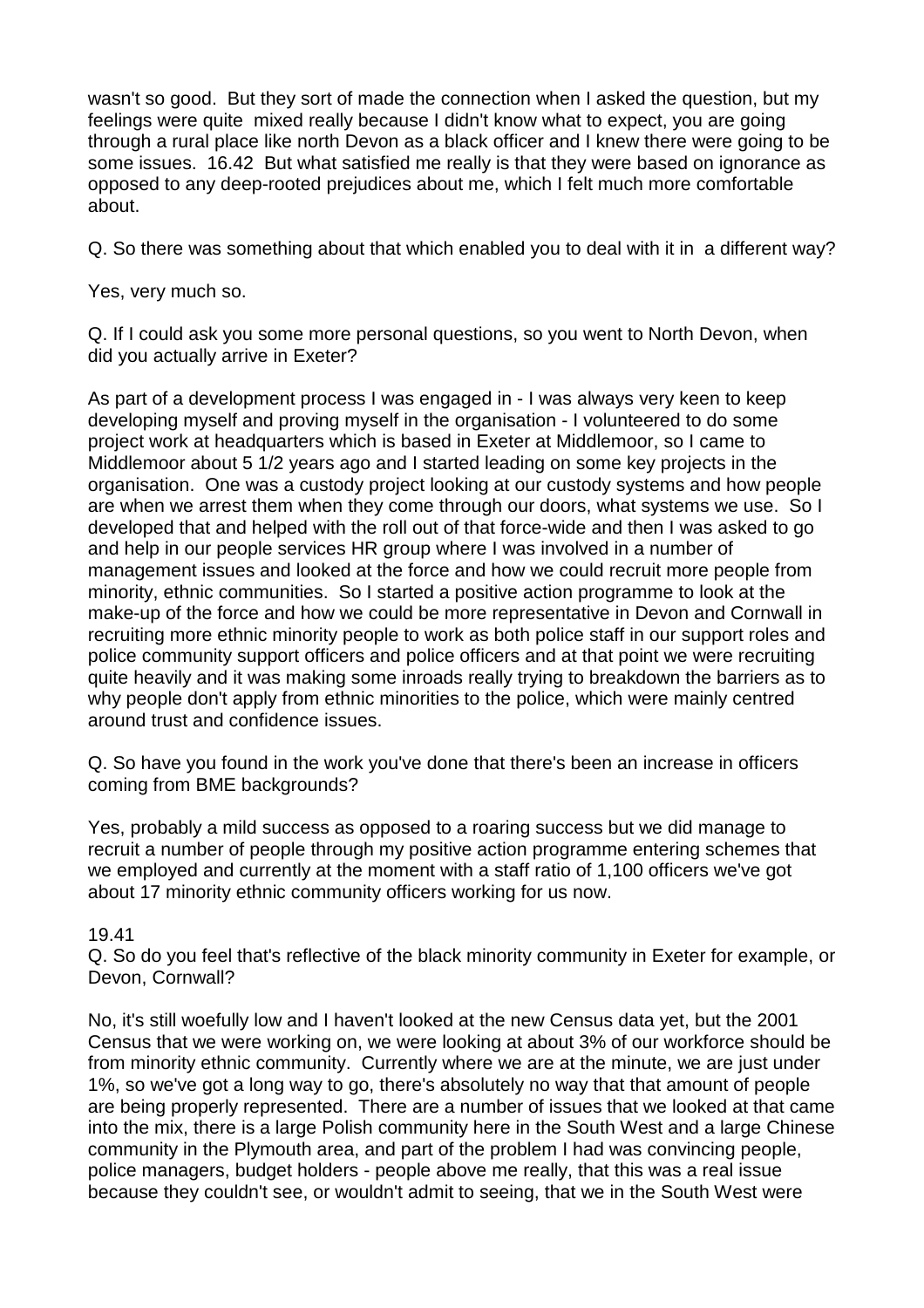wasn't so good. But they sort of made the connection when I asked the question, but my feelings were quite mixed really because I didn't know what to expect, you are going through a rural place like north Devon as a black officer and I knew there were going to be some issues. 16.42 But what satisfied me really is that they were based on ignorance as opposed to any deep-rooted prejudices about me, which I felt much more comfortable about.

Q. So there was something about that which enabled you to deal with it in a different way?

Yes, very much so.

Q. If I could ask you some more personal questions, so you went to North Devon, when did you actually arrive in Exeter?

As part of a development process I was engaged in - I was always very keen to keep developing myself and proving myself in the organisation - I volunteered to do some project work at headquarters which is based in Exeter at Middlemoor, so I came to Middlemoor about 5 1/2 years ago and I started leading on some key projects in the organisation. One was a custody project looking at our custody systems and how people are when we arrest them when they come through our doors, what systems we use. So I developed that and helped with the roll out of that force-wide and then I was asked to go and help in our people services HR group where I was involved in a number of management issues and looked at the force and how we could recruit more people from minority, ethnic communities. So I started a positive action programme to look at the make-up of the force and how we could be more representative in Devon and Cornwall in recruiting more ethnic minority people to work as both police staff in our support roles and police community support officers and police officers and at that point we were recruiting quite heavily and it was making some inroads really trying to breakdown the barriers as to why people don't apply from ethnic minorities to the police, which were mainly centred around trust and confidence issues.

Q. So have you found in the work you've done that there's been an increase in officers coming from BME backgrounds?

Yes, probably a mild success as opposed to a roaring success but we did manage to recruit a number of people through my positive action programme entering schemes that we employed and currently at the moment with a staff ratio of 1,100 officers we've got about 17 minority ethnic community officers working for us now.

### 19.41

Q. So do you feel that's reflective of the black minority community in Exeter for example, or Devon, Cornwall?

No, it's still woefully low and I haven't looked at the new Census data yet, but the 2001 Census that we were working on, we were looking at about 3% of our workforce should be from minority ethnic community. Currently where we are at the minute, we are just under 1%, so we've got a long way to go, there's absolutely no way that that amount of people are being properly represented. There are a number of issues that we looked at that came into the mix, there is a large Polish community here in the South West and a large Chinese community in the Plymouth area, and part of the problem I had was convincing people, police managers, budget holders - people above me really, that this was a real issue because they couldn't see, or wouldn't admit to seeing, that we in the South West were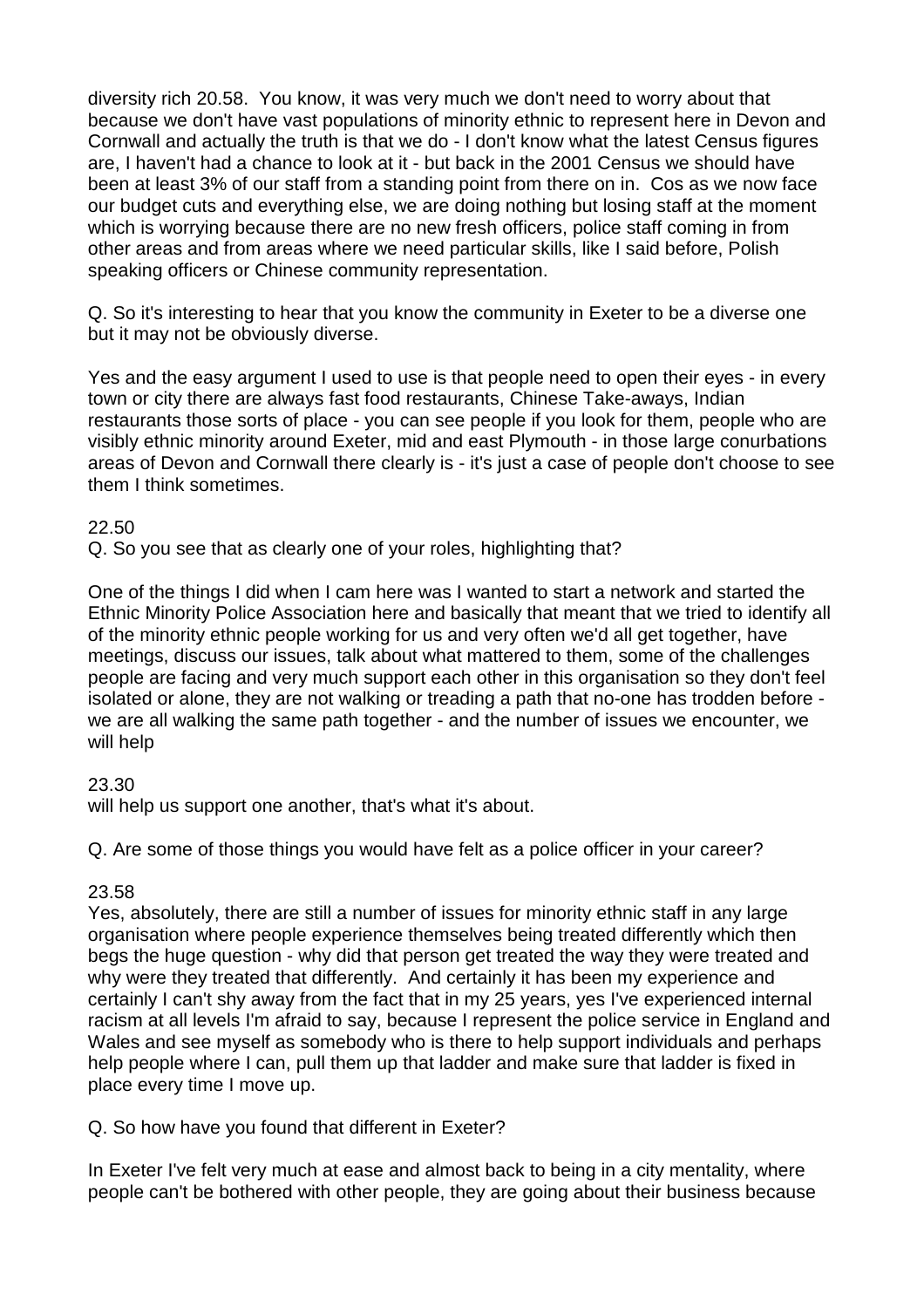diversity rich 20.58. You know, it was very much we don't need to worry about that because we don't have vast populations of minority ethnic to represent here in Devon and Cornwall and actually the truth is that we do - I don't know what the latest Census figures are, I haven't had a chance to look at it - but back in the 2001 Census we should have been at least 3% of our staff from a standing point from there on in. Cos as we now face our budget cuts and everything else, we are doing nothing but losing staff at the moment which is worrying because there are no new fresh officers, police staff coming in from other areas and from areas where we need particular skills, like I said before, Polish speaking officers or Chinese community representation.

Q. So it's interesting to hear that you know the community in Exeter to be a diverse one but it may not be obviously diverse.

Yes and the easy argument I used to use is that people need to open their eyes - in every town or city there are always fast food restaurants, Chinese Take-aways, Indian restaurants those sorts of place - you can see people if you look for them, people who are visibly ethnic minority around Exeter, mid and east Plymouth - in those large conurbations areas of Devon and Cornwall there clearly is - it's just a case of people don't choose to see them I think sometimes.

### 22.50

Q. So you see that as clearly one of your roles, highlighting that?

One of the things I did when I cam here was I wanted to start a network and started the Ethnic Minority Police Association here and basically that meant that we tried to identify all of the minority ethnic people working for us and very often we'd all get together, have meetings, discuss our issues, talk about what mattered to them, some of the challenges people are facing and very much support each other in this organisation so they don't feel isolated or alone, they are not walking or treading a path that no-one has trodden before we are all walking the same path together - and the number of issues we encounter, we will help

## 23.30

will help us support one another, that's what it's about.

Q. Are some of those things you would have felt as a police officer in your career?

### 23.58

Yes, absolutely, there are still a number of issues for minority ethnic staff in any large organisation where people experience themselves being treated differently which then begs the huge question - why did that person get treated the way they were treated and why were they treated that differently. And certainly it has been my experience and certainly I can't shy away from the fact that in my 25 years, yes I've experienced internal racism at all levels I'm afraid to say, because I represent the police service in England and Wales and see myself as somebody who is there to help support individuals and perhaps help people where I can, pull them up that ladder and make sure that ladder is fixed in place every time I move up.

Q. So how have you found that different in Exeter?

In Exeter I've felt very much at ease and almost back to being in a city mentality, where people can't be bothered with other people, they are going about their business because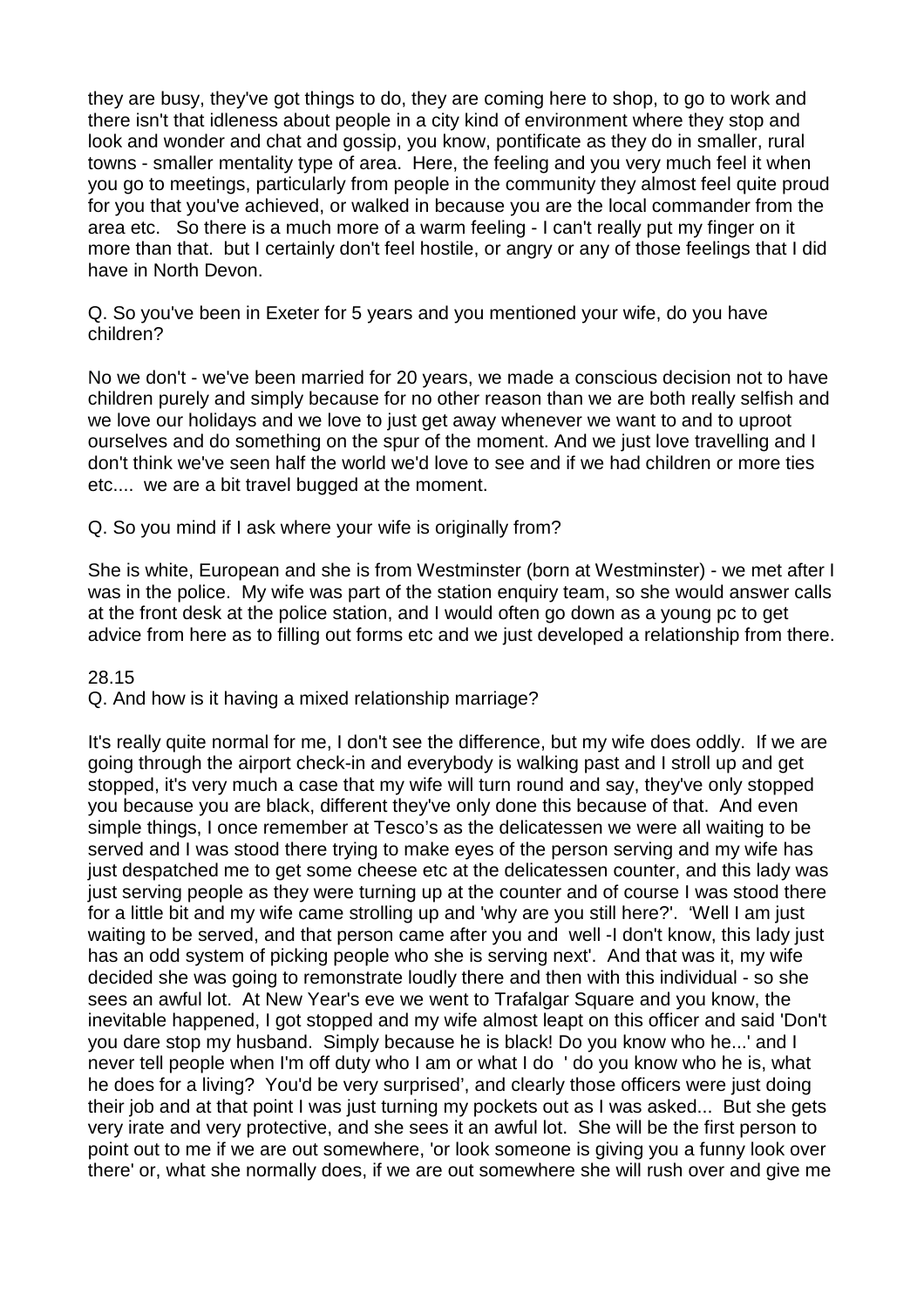they are busy, they've got things to do, they are coming here to shop, to go to work and there isn't that idleness about people in a city kind of environment where they stop and look and wonder and chat and gossip, you know, pontificate as they do in smaller, rural towns - smaller mentality type of area. Here, the feeling and you very much feel it when you go to meetings, particularly from people in the community they almost feel quite proud for you that you've achieved, or walked in because you are the local commander from the area etc. So there is a much more of a warm feeling - I can't really put my finger on it more than that. but I certainly don't feel hostile, or angry or any of those feelings that I did have in North Devon.

Q. So you've been in Exeter for 5 years and you mentioned your wife, do you have children?

No we don't - we've been married for 20 years, we made a conscious decision not to have children purely and simply because for no other reason than we are both really selfish and we love our holidays and we love to just get away whenever we want to and to uproot ourselves and do something on the spur of the moment. And we just love travelling and I don't think we've seen half the world we'd love to see and if we had children or more ties etc.... we are a bit travel bugged at the moment.

Q. So you mind if I ask where your wife is originally from?

She is white, European and she is from Westminster (born at Westminster) - we met after I was in the police. My wife was part of the station enquiry team, so she would answer calls at the front desk at the police station, and I would often go down as a young pc to get advice from here as to filling out forms etc and we just developed a relationship from there.

28.15

Q. And how is it having a mixed relationship marriage?

It's really quite normal for me, I don't see the difference, but my wife does oddly. If we are going through the airport check-in and everybody is walking past and I stroll up and get stopped, it's very much a case that my wife will turn round and say, they've only stopped you because you are black, different they've only done this because of that. And even simple things, I once remember at Tesco's as the delicatessen we were all waiting to be served and I was stood there trying to make eyes of the person serving and my wife has just despatched me to get some cheese etc at the delicatessen counter, and this lady was just serving people as they were turning up at the counter and of course I was stood there for a little bit and my wife came strolling up and 'why are you still here?'. 'Well I am just waiting to be served, and that person came after you and well -I don't know, this lady just has an odd system of picking people who she is serving next'. And that was it, my wife decided she was going to remonstrate loudly there and then with this individual - so she sees an awful lot. At New Year's eve we went to Trafalgar Square and you know, the inevitable happened, I got stopped and my wife almost leapt on this officer and said 'Don't you dare stop my husband. Simply because he is black! Do you know who he...' and I never tell people when I'm off duty who I am or what I do ' do you know who he is, what he does for a living? You'd be very surprised', and clearly those officers were just doing their job and at that point I was just turning my pockets out as I was asked... But she gets very irate and very protective, and she sees it an awful lot. She will be the first person to point out to me if we are out somewhere, 'or look someone is giving you a funny look over there' or, what she normally does, if we are out somewhere she will rush over and give me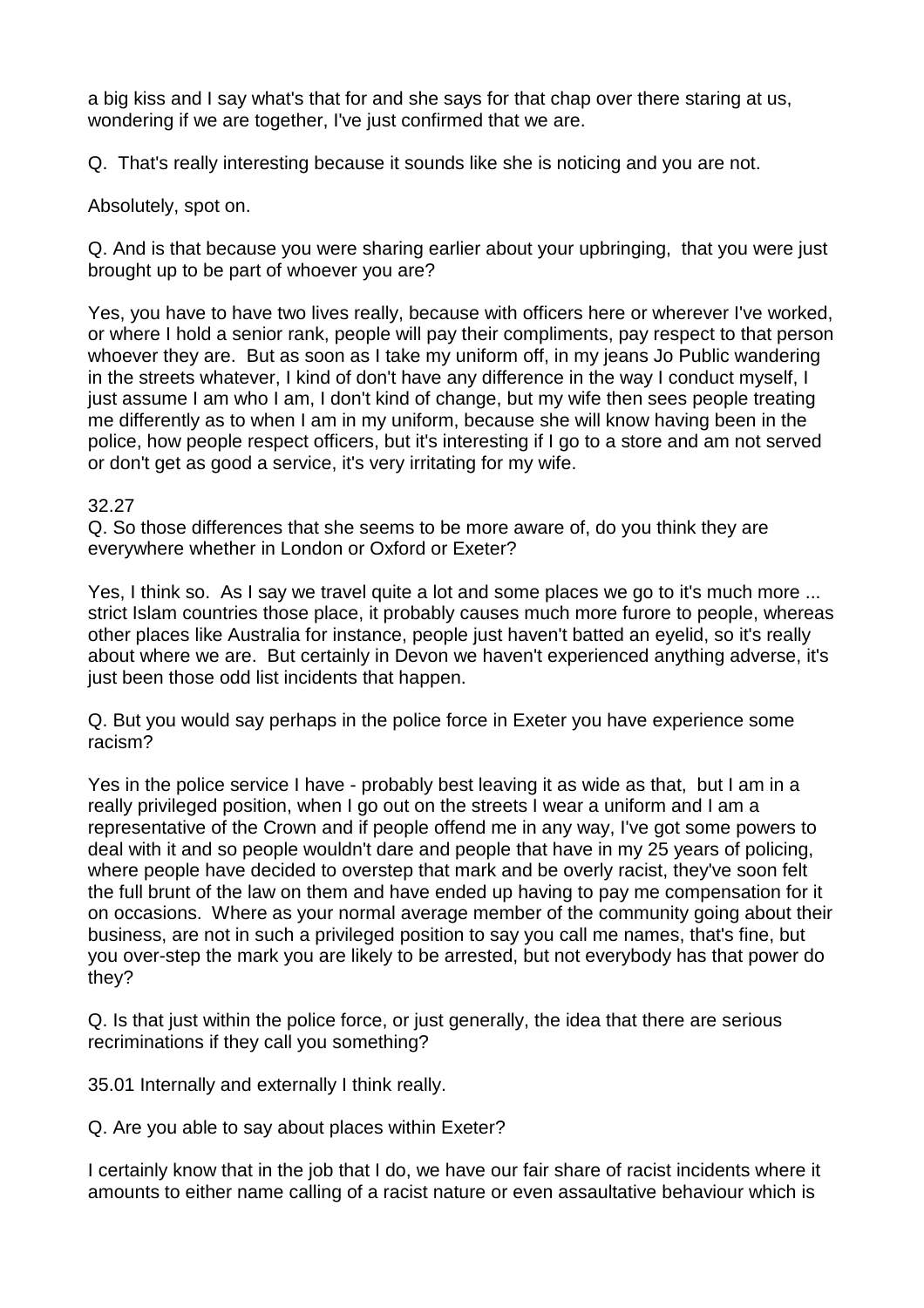a big kiss and I say what's that for and she says for that chap over there staring at us, wondering if we are together, I've just confirmed that we are.

Q. That's really interesting because it sounds like she is noticing and you are not.

Absolutely, spot on.

Q. And is that because you were sharing earlier about your upbringing, that you were just brought up to be part of whoever you are?

Yes, you have to have two lives really, because with officers here or wherever I've worked, or where I hold a senior rank, people will pay their compliments, pay respect to that person whoever they are. But as soon as I take my uniform off, in my jeans Jo Public wandering in the streets whatever, I kind of don't have any difference in the way I conduct myself, I just assume I am who I am, I don't kind of change, but my wife then sees people treating me differently as to when I am in my uniform, because she will know having been in the police, how people respect officers, but it's interesting if I go to a store and am not served or don't get as good a service, it's very irritating for my wife.

## 32.27

Q. So those differences that she seems to be more aware of, do you think they are everywhere whether in London or Oxford or Exeter?

Yes, I think so. As I say we travel quite a lot and some places we go to it's much more ... strict Islam countries those place, it probably causes much more furore to people, whereas other places like Australia for instance, people just haven't batted an eyelid, so it's really about where we are. But certainly in Devon we haven't experienced anything adverse, it's just been those odd list incidents that happen.

Q. But you would say perhaps in the police force in Exeter you have experience some racism?

Yes in the police service I have - probably best leaving it as wide as that, but I am in a really privileged position, when I go out on the streets I wear a uniform and I am a representative of the Crown and if people offend me in any way, I've got some powers to deal with it and so people wouldn't dare and people that have in my 25 years of policing, where people have decided to overstep that mark and be overly racist, they've soon felt the full brunt of the law on them and have ended up having to pay me compensation for it on occasions. Where as your normal average member of the community going about their business, are not in such a privileged position to say you call me names, that's fine, but you over-step the mark you are likely to be arrested, but not everybody has that power do they?

Q. Is that just within the police force, or just generally, the idea that there are serious recriminations if they call you something?

35.01 Internally and externally I think really.

Q. Are you able to say about places within Exeter?

I certainly know that in the job that I do, we have our fair share of racist incidents where it amounts to either name calling of a racist nature or even assaultative behaviour which is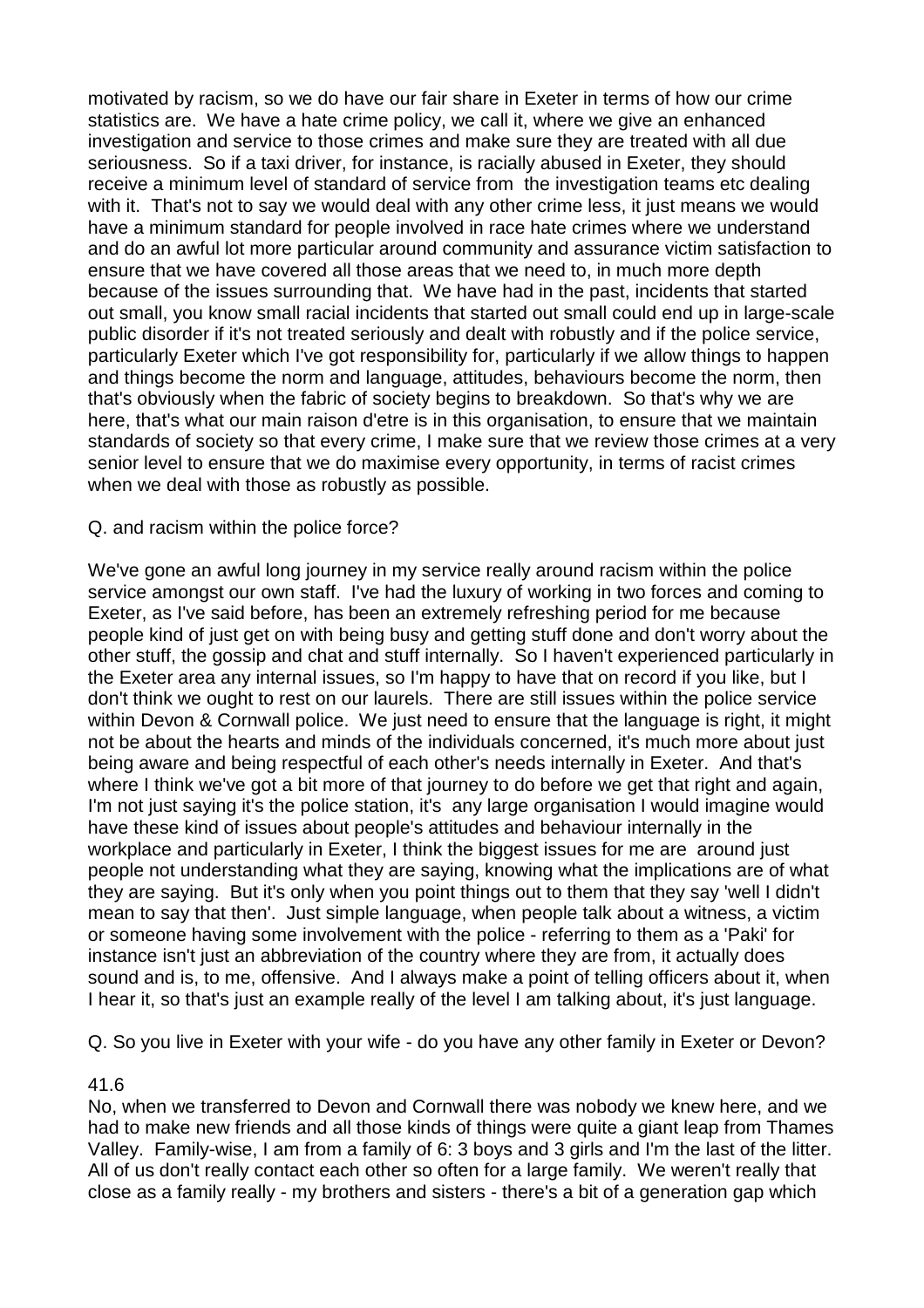motivated by racism, so we do have our fair share in Exeter in terms of how our crime statistics are. We have a hate crime policy, we call it, where we give an enhanced investigation and service to those crimes and make sure they are treated with all due seriousness. So if a taxi driver, for instance, is racially abused in Exeter, they should receive a minimum level of standard of service from the investigation teams etc dealing with it. That's not to say we would deal with any other crime less, it just means we would have a minimum standard for people involved in race hate crimes where we understand and do an awful lot more particular around community and assurance victim satisfaction to ensure that we have covered all those areas that we need to, in much more depth because of the issues surrounding that. We have had in the past, incidents that started out small, you know small racial incidents that started out small could end up in large-scale public disorder if it's not treated seriously and dealt with robustly and if the police service, particularly Exeter which I've got responsibility for, particularly if we allow things to happen and things become the norm and language, attitudes, behaviours become the norm, then that's obviously when the fabric of society begins to breakdown. So that's why we are here, that's what our main raison d'etre is in this organisation, to ensure that we maintain standards of society so that every crime, I make sure that we review those crimes at a very senior level to ensure that we do maximise every opportunity, in terms of racist crimes when we deal with those as robustly as possible.

### Q. and racism within the police force?

We've gone an awful long journey in my service really around racism within the police service amongst our own staff. I've had the luxury of working in two forces and coming to Exeter, as I've said before, has been an extremely refreshing period for me because people kind of just get on with being busy and getting stuff done and don't worry about the other stuff, the gossip and chat and stuff internally. So I haven't experienced particularly in the Exeter area any internal issues, so I'm happy to have that on record if you like, but I don't think we ought to rest on our laurels. There are still issues within the police service within Devon & Cornwall police. We just need to ensure that the language is right, it might not be about the hearts and minds of the individuals concerned, it's much more about just being aware and being respectful of each other's needs internally in Exeter. And that's where I think we've got a bit more of that journey to do before we get that right and again, I'm not just saying it's the police station, it's any large organisation I would imagine would have these kind of issues about people's attitudes and behaviour internally in the workplace and particularly in Exeter, I think the biggest issues for me are around just people not understanding what they are saying, knowing what the implications are of what they are saying. But it's only when you point things out to them that they say 'well I didn't mean to say that then'. Just simple language, when people talk about a witness, a victim or someone having some involvement with the police - referring to them as a 'Paki' for instance isn't just an abbreviation of the country where they are from, it actually does sound and is, to me, offensive. And I always make a point of telling officers about it, when I hear it, so that's just an example really of the level I am talking about, it's just language.

Q. So you live in Exeter with your wife - do you have any other family in Exeter or Devon?

## 41.6

No, when we transferred to Devon and Cornwall there was nobody we knew here, and we had to make new friends and all those kinds of things were quite a giant leap from Thames Valley. Family-wise, I am from a family of 6: 3 boys and 3 girls and I'm the last of the litter. All of us don't really contact each other so often for a large family. We weren't really that close as a family really - my brothers and sisters - there's a bit of a generation gap which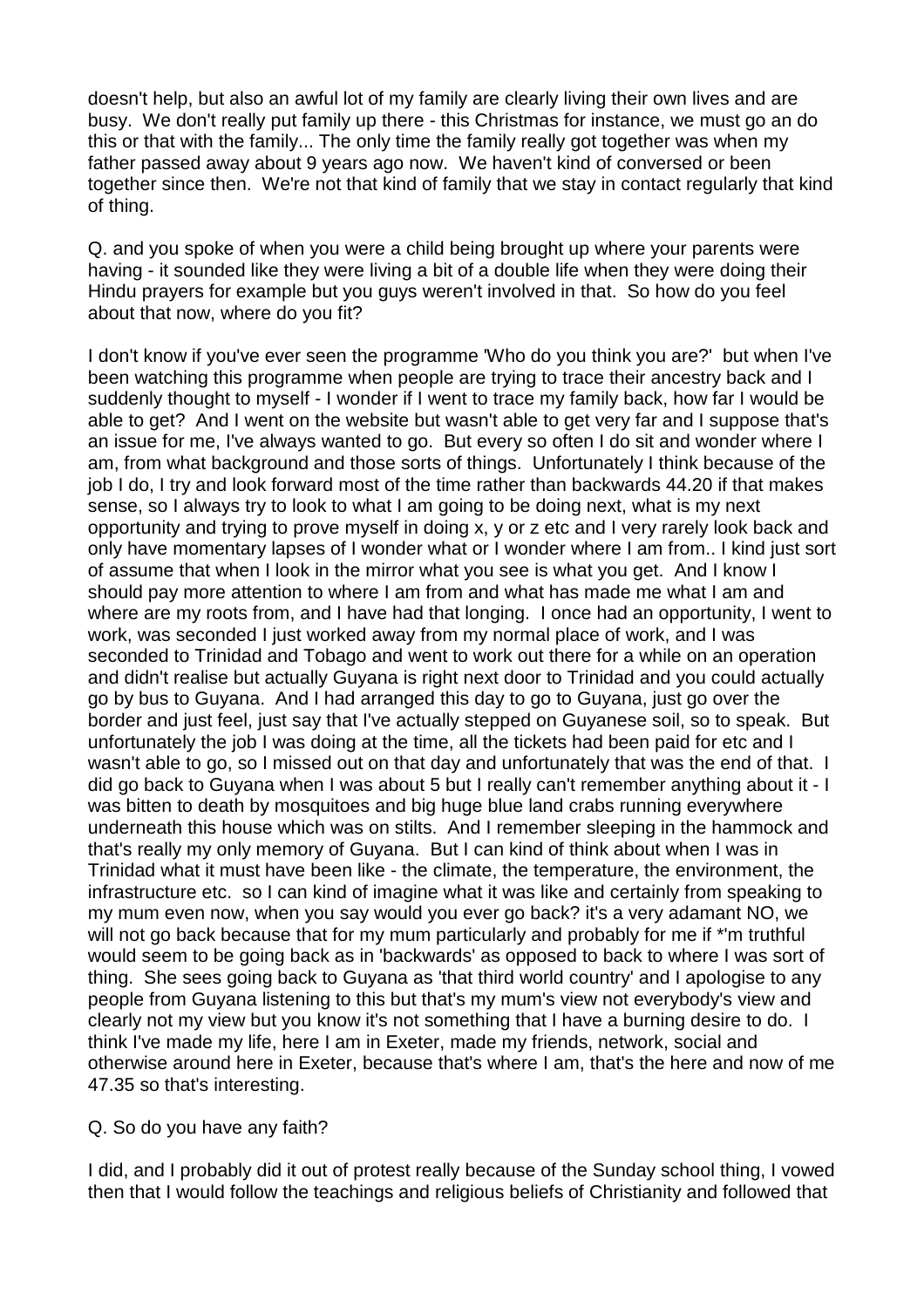doesn't help, but also an awful lot of my family are clearly living their own lives and are busy. We don't really put family up there - this Christmas for instance, we must go an do this or that with the family... The only time the family really got together was when my father passed away about 9 years ago now. We haven't kind of conversed or been together since then. We're not that kind of family that we stay in contact regularly that kind of thing.

Q. and you spoke of when you were a child being brought up where your parents were having - it sounded like they were living a bit of a double life when they were doing their Hindu prayers for example but you guys weren't involved in that. So how do you feel about that now, where do you fit?

I don't know if you've ever seen the programme 'Who do you think you are?' but when I've been watching this programme when people are trying to trace their ancestry back and I suddenly thought to myself - I wonder if I went to trace my family back, how far I would be able to get? And I went on the website but wasn't able to get very far and I suppose that's an issue for me, I've always wanted to go. But every so often I do sit and wonder where I am, from what background and those sorts of things. Unfortunately I think because of the job I do, I try and look forward most of the time rather than backwards 44.20 if that makes sense, so I always try to look to what I am going to be doing next, what is my next opportunity and trying to prove myself in doing x, y or z etc and I very rarely look back and only have momentary lapses of I wonder what or I wonder where I am from.. I kind just sort of assume that when I look in the mirror what you see is what you get. And I know I should pay more attention to where I am from and what has made me what I am and where are my roots from, and I have had that longing. I once had an opportunity, I went to work, was seconded I just worked away from my normal place of work, and I was seconded to Trinidad and Tobago and went to work out there for a while on an operation and didn't realise but actually Guyana is right next door to Trinidad and you could actually go by bus to Guyana. And I had arranged this day to go to Guyana, just go over the border and just feel, just say that I've actually stepped on Guyanese soil, so to speak. But unfortunately the job I was doing at the time, all the tickets had been paid for etc and I wasn't able to go, so I missed out on that day and unfortunately that was the end of that. I did go back to Guyana when I was about 5 but I really can't remember anything about it - I was bitten to death by mosquitoes and big huge blue land crabs running everywhere underneath this house which was on stilts. And I remember sleeping in the hammock and that's really my only memory of Guyana. But I can kind of think about when I was in Trinidad what it must have been like - the climate, the temperature, the environment, the infrastructure etc. so I can kind of imagine what it was like and certainly from speaking to my mum even now, when you say would you ever go back? it's a very adamant NO, we will not go back because that for my mum particularly and probably for me if \*'m truthful would seem to be going back as in 'backwards' as opposed to back to where I was sort of thing. She sees going back to Guyana as 'that third world country' and I apologise to any people from Guyana listening to this but that's my mum's view not everybody's view and clearly not my view but you know it's not something that I have a burning desire to do. I think I've made my life, here I am in Exeter, made my friends, network, social and otherwise around here in Exeter, because that's where I am, that's the here and now of me 47.35 so that's interesting.

Q. So do you have any faith?

I did, and I probably did it out of protest really because of the Sunday school thing, I vowed then that I would follow the teachings and religious beliefs of Christianity and followed that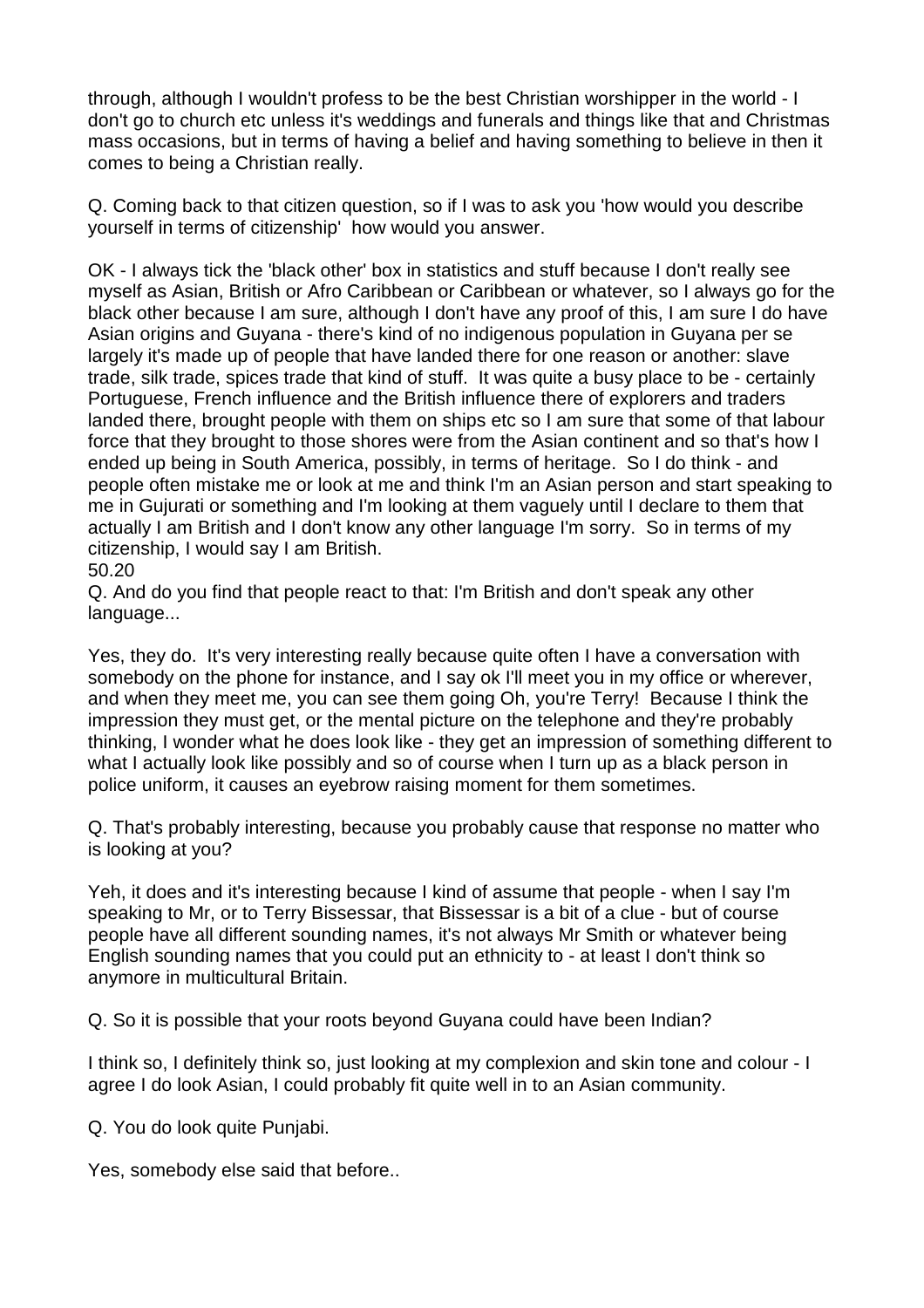through, although I wouldn't profess to be the best Christian worshipper in the world - I don't go to church etc unless it's weddings and funerals and things like that and Christmas mass occasions, but in terms of having a belief and having something to believe in then it comes to being a Christian really.

Q. Coming back to that citizen question, so if I was to ask you 'how would you describe yourself in terms of citizenship' how would you answer.

OK - I always tick the 'black other' box in statistics and stuff because I don't really see myself as Asian, British or Afro Caribbean or Caribbean or whatever, so I always go for the black other because I am sure, although I don't have any proof of this, I am sure I do have Asian origins and Guyana - there's kind of no indigenous population in Guyana per se largely it's made up of people that have landed there for one reason or another: slave trade, silk trade, spices trade that kind of stuff. It was quite a busy place to be - certainly Portuguese, French influence and the British influence there of explorers and traders landed there, brought people with them on ships etc so I am sure that some of that labour force that they brought to those shores were from the Asian continent and so that's how I ended up being in South America, possibly, in terms of heritage. So I do think - and people often mistake me or look at me and think I'm an Asian person and start speaking to me in Gujurati or something and I'm looking at them vaguely until I declare to them that actually I am British and I don't know any other language I'm sorry. So in terms of my citizenship, I would say I am British.

50.20

Q. And do you find that people react to that: I'm British and don't speak any other language...

Yes, they do. It's very interesting really because quite often I have a conversation with somebody on the phone for instance, and I say ok I'll meet you in my office or wherever, and when they meet me, you can see them going Oh, you're Terry! Because I think the impression they must get, or the mental picture on the telephone and they're probably thinking, I wonder what he does look like - they get an impression of something different to what I actually look like possibly and so of course when I turn up as a black person in police uniform, it causes an eyebrow raising moment for them sometimes.

Q. That's probably interesting, because you probably cause that response no matter who is looking at you?

Yeh, it does and it's interesting because I kind of assume that people - when I say I'm speaking to Mr, or to Terry Bissessar, that Bissessar is a bit of a clue - but of course people have all different sounding names, it's not always Mr Smith or whatever being English sounding names that you could put an ethnicity to - at least I don't think so anymore in multicultural Britain.

Q. So it is possible that your roots beyond Guyana could have been Indian?

I think so, I definitely think so, just looking at my complexion and skin tone and colour - I agree I do look Asian, I could probably fit quite well in to an Asian community.

Q. You do look quite Punjabi.

Yes, somebody else said that before..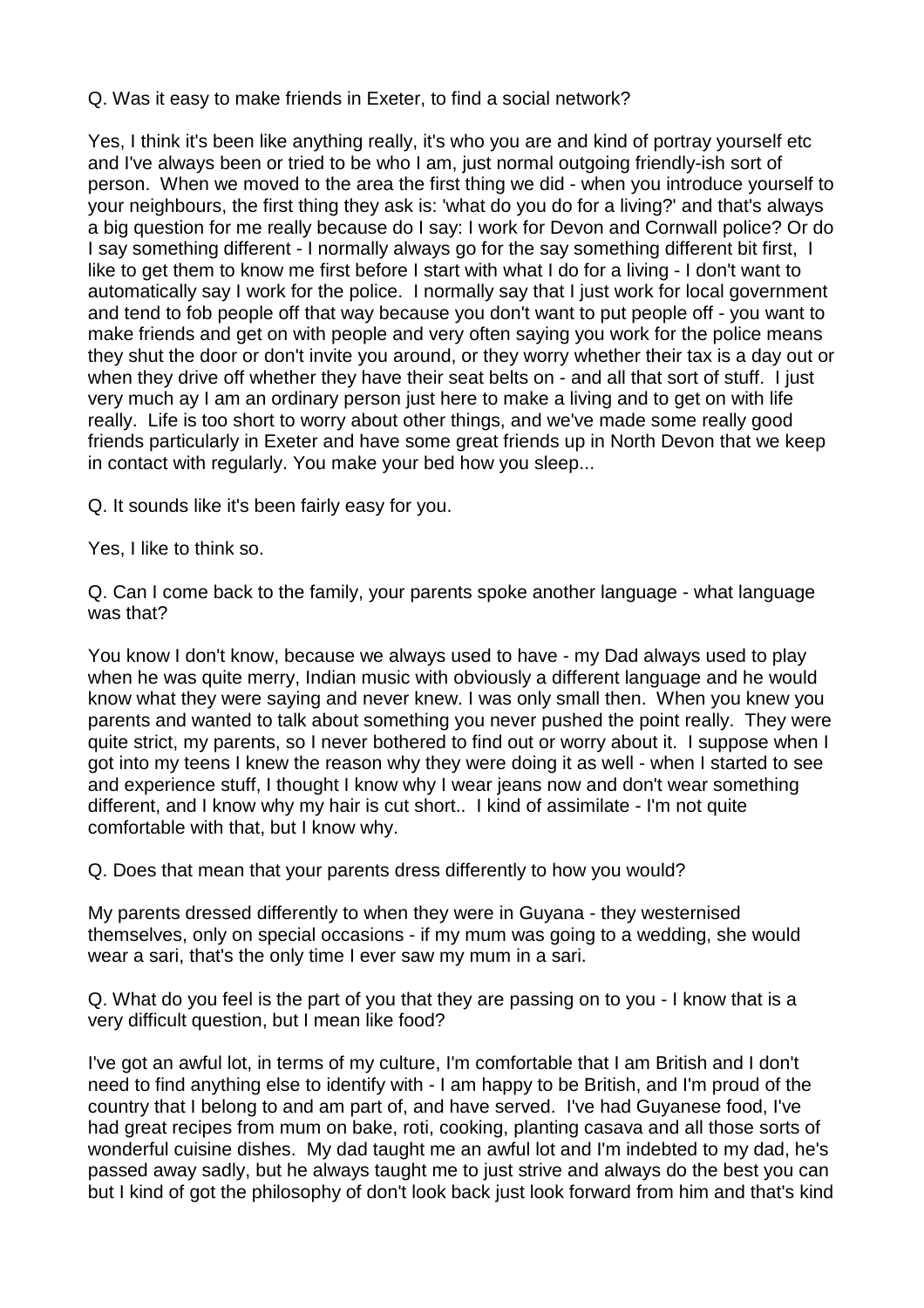Q. Was it easy to make friends in Exeter, to find a social network?

Yes, I think it's been like anything really, it's who you are and kind of portray yourself etc and I've always been or tried to be who I am, just normal outgoing friendly-ish sort of person. When we moved to the area the first thing we did - when you introduce yourself to your neighbours, the first thing they ask is: 'what do you do for a living?' and that's always a big question for me really because do I say: I work for Devon and Cornwall police? Or do I say something different - I normally always go for the say something different bit first, I like to get them to know me first before I start with what I do for a living - I don't want to automatically say I work for the police. I normally say that I just work for local government and tend to fob people off that way because you don't want to put people off - you want to make friends and get on with people and very often saying you work for the police means they shut the door or don't invite you around, or they worry whether their tax is a day out or when they drive off whether they have their seat belts on - and all that sort of stuff. I just very much ay I am an ordinary person just here to make a living and to get on with life really. Life is too short to worry about other things, and we've made some really good friends particularly in Exeter and have some great friends up in North Devon that we keep in contact with regularly. You make your bed how you sleep...

Q. It sounds like it's been fairly easy for you.

Yes, I like to think so.

Q. Can I come back to the family, your parents spoke another language - what language was that?

You know I don't know, because we always used to have - my Dad always used to play when he was quite merry, Indian music with obviously a different language and he would know what they were saying and never knew. I was only small then. When you knew you parents and wanted to talk about something you never pushed the point really. They were quite strict, my parents, so I never bothered to find out or worry about it. I suppose when I got into my teens I knew the reason why they were doing it as well - when I started to see and experience stuff, I thought I know why I wear jeans now and don't wear something different, and I know why my hair is cut short.. I kind of assimilate - I'm not quite comfortable with that, but I know why.

Q. Does that mean that your parents dress differently to how you would?

My parents dressed differently to when they were in Guyana - they westernised themselves, only on special occasions - if my mum was going to a wedding, she would wear a sari, that's the only time I ever saw my mum in a sari.

Q. What do you feel is the part of you that they are passing on to you - I know that is a very difficult question, but I mean like food?

I've got an awful lot, in terms of my culture, I'm comfortable that I am British and I don't need to find anything else to identify with - I am happy to be British, and I'm proud of the country that I belong to and am part of, and have served. I've had Guyanese food, I've had great recipes from mum on bake, roti, cooking, planting casava and all those sorts of wonderful cuisine dishes. My dad taught me an awful lot and I'm indebted to my dad, he's passed away sadly, but he always taught me to just strive and always do the best you can but I kind of got the philosophy of don't look back just look forward from him and that's kind